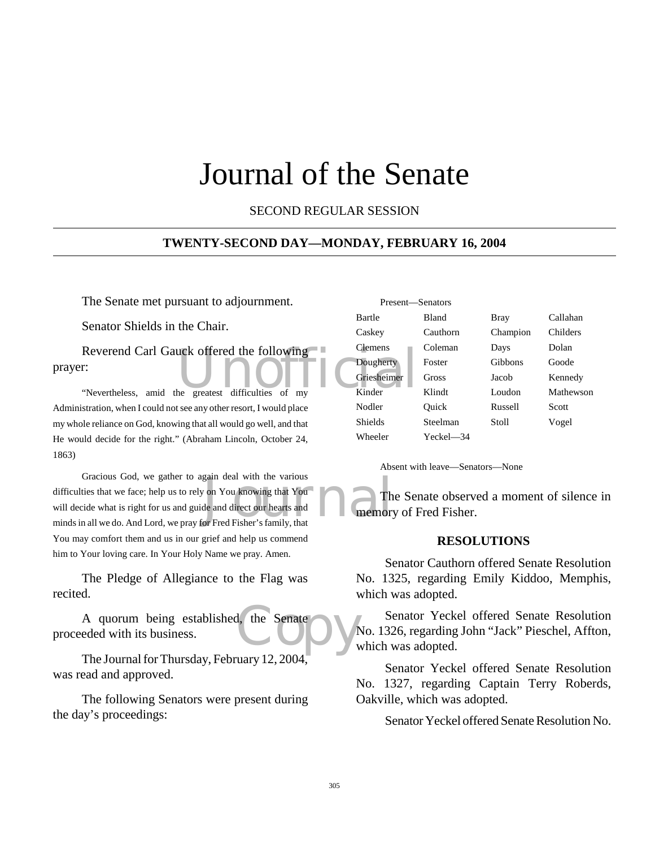# Journal of the Senate

SECOND REGULAR SESSION

#### **TWENTY-SECOND DAY—MONDAY, FEBRUARY 16, 2004**

The Senate met pursuant to adjournment.

Senator Shields in the Chair.

Reverend Carl Gauck offered the following<br>
The Clemens<br>
"Nevertheless, amid the greatest difficulties of my Kinder prayer:

"Nevertheless, amid the greatest difficulties of my Administration, when I could not see any other resort, I would place my whole reliance on God, knowing that all would go well, and that He would decide for the right." (Abraham Lincoln, October 24, 1863)

gain deal with the various<br>
y on You knowing that You<br>
de and direct our hearts and<br>
for Fred Fisher's family, that Gracious God, we gather to again deal with the various difficulties that we face; help us to rely on You knowing that You will decide what is right for us and guide and direct our hearts and minds in all we do. And Lord, we pray for Fred Fisher's family, that You may comfort them and us in our grief and help us commend him to Your loving care. In Your Holy Name we pray. Amen.

The Pledge of Allegiance to the Flag was recited.

d. the Senate A quorum being established, the Senate proceeded with its business.

The Journal for Thursday, February 12, 2004, was read and approved.

The following Senators were present during the day's proceedings:

| Present-Senators |              |          |           |
|------------------|--------------|----------|-----------|
| <b>Bartle</b>    | <b>Bland</b> | Bray     | Callahan  |
| Caskey           | Cauthorn     | Champion | Childers  |
| <b>Clemens</b>   | Coleman      | Days     | Dolan     |
| Dougherty        | Foster       | Gibbons  | Goode     |
| Griesheimer      | Gross        | Jacob    | Kennedy   |
| Kinder           | Klindt       | Loudon   | Mathewson |
| Nodler           | Ouick        | Russell  | Scott     |
| <b>Shields</b>   | Steelman     | Stoll    | Vogel     |
| Wheeler          | Yeckel—34    |          |           |

Absent with leave—Senators—None

The Senate observed a moment of silence in memory of Fred Fisher.

#### **RESOLUTIONS**

Senator Cauthorn offered Senate Resolution No. 1325, regarding Emily Kiddoo, Memphis, which was adopted.

Senator Yeckel offered Senate Resolution No. 1326, regarding John "Jack" Pieschel, Affton, which was adopted.

Senator Yeckel offered Senate Resolution No. 1327, regarding Captain Terry Roberds, Oakville, which was adopted.

Senator Yeckel offered Senate Resolution No.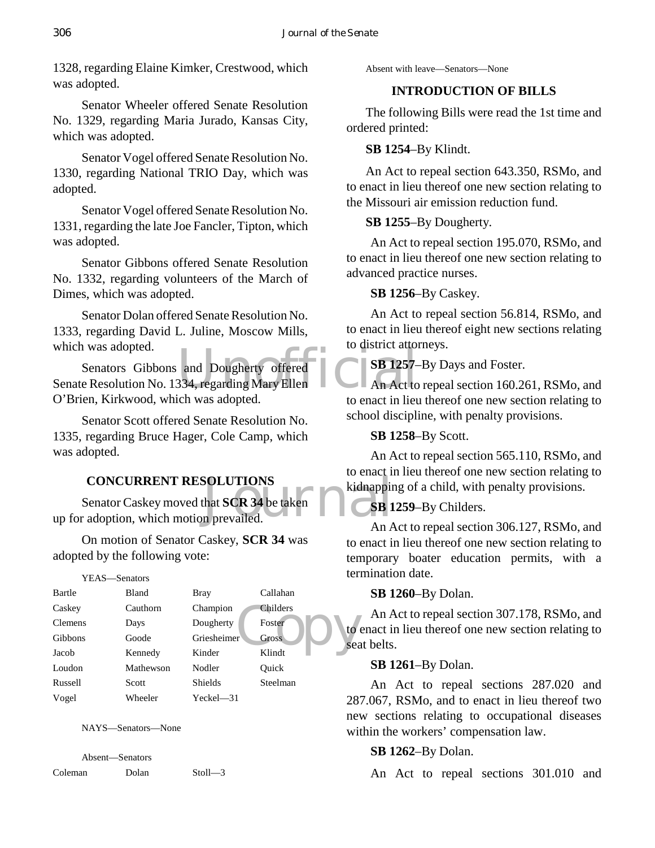1328, regarding Elaine Kimker, Crestwood, which was adopted.

Senator Wheeler offered Senate Resolution No. 1329, regarding Maria Jurado, Kansas City, which was adopted.

Senator Vogel offered Senate Resolution No. 1330, regarding National TRIO Day, which was adopted.

Senator Vogel offered Senate Resolution No. 1331, regarding the late Joe Fancler, Tipton, which was adopted.

Senator Gibbons offered Senate Resolution No. 1332, regarding volunteers of the March of Dimes, which was adopted.

Senator Dolan offered Senate Resolution No. 1333, regarding David L. Juline, Moscow Mills, which was adopted.

Which was adopted.<br>
Senators Gibbons and Dougherty offered<br>
Senate Resolution No. 1334, regarding Mary Ellen<br>
O'Prian Kirlwood which was adopted Senators Gibbons and Dougherty offered O'Brien, Kirkwood, which was adopted.

Senator Scott offered Senate Resolution No. 1335, regarding Bruce Hager, Cole Camp, which was adopted.

# **CONCURRENT RESOLUTIONS**

SOLUTIONS<br>
that SCR 34 be taken<br>
in prevailed. Senator Caskey moved that **SCR 34** be taken up for adoption, which motion prevailed.

On motion of Senator Caskey, **SCR 34** was adopted by the following vote:

| YEAS— | -Senators |
|-------|-----------|
|       |           |

| Bartle         | Bland     | <b>Bray</b>    | Callahan     |
|----------------|-----------|----------------|--------------|
| Caskey         | Cauthorn  | Champion       | Childers     |
| <b>Clemens</b> | Days      | Dougherty      | Foster<br>to |
| <b>Gibbons</b> | Goode     | Griesheimer    | Gross<br>sea |
| Jacob          | Kennedy   | Kinder         | Klindt       |
| Loudon         | Mathewson | Nodler         | Ouick        |
| Russell        | Scott     | <b>Shields</b> | Steelman     |
| Vogel          | Wheeler   | Yeckel—31      |              |

NAYS—Senators—None

Absent—Senators Coleman Dolan Stoll—3 Absent with leave—Senators—None

## **INTRODUCTION OF BILLS**

The following Bills were read the 1st time and ordered printed:

## **SB 1254**–By Klindt.

An Act to repeal section 643.350, RSMo, and to enact in lieu thereof one new section relating to the Missouri air emission reduction fund.

## **SB 1255**–By Dougherty.

An Act to repeal section 195.070, RSMo, and to enact in lieu thereof one new section relating to advanced practice nurses.

## **SB 1256**–By Caskey.

An Act to repeal section 56.814, RSMo, and to enact in lieu thereof eight new sections relating to district attorneys.

**SB 1257**–By Days and Foster.

An Act to repeal section 160.261, RSMo, and to enact in lieu thereof one new section relating to school discipline, with penalty provisions.

# **SB 1258**–By Scott.

An Act to repeal section 565.110, RSMo, and to enact in lieu thereof one new section relating to kidnapping of a child, with penalty provisions.

# **SB 1259**–By Childers.

An Act to repeal section 306.127, RSMo, and to enact in lieu thereof one new section relating to temporary boater education permits, with a termination date.

## **SB 1260**–By Dolan.

An Act to repeal section 307.178, RSMo, and to enact in lieu thereof one new section relating to seat belts.

## **SB 1261**–By Dolan.

An Act to repeal sections 287.020 and 287.067, RSMo, and to enact in lieu thereof two new sections relating to occupational diseases within the workers' compensation law.

# **SB 1262**–By Dolan.

An Act to repeal sections 301.010 and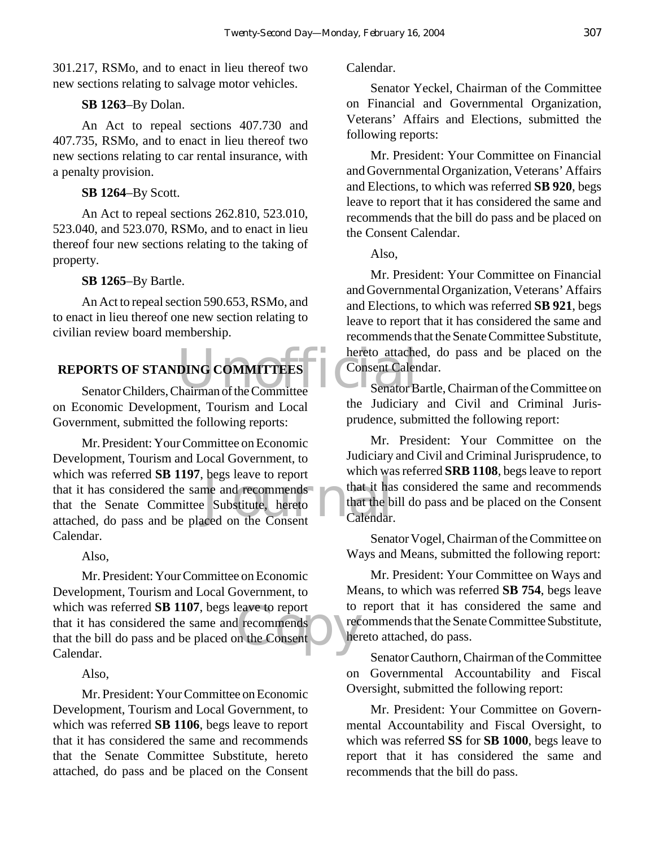301.217, RSMo, and to enact in lieu thereof two new sections relating to salvage motor vehicles.

## **SB 1263**–By Dolan.

An Act to repeal sections 407.730 and 407.735, RSMo, and to enact in lieu thereof two new sections relating to car rental insurance, with a penalty provision.

## **SB 1264**–By Scott.

An Act to repeal sections 262.810, 523.010, 523.040, and 523.070, RSMo, and to enact in lieu thereof four new sections relating to the taking of property.

## **SB 1265**–By Bartle.

An Act to repeal section 590.653, RSMo, and to enact in lieu thereof one new section relating to civilian review board membership.

# VORTS OF STANDING COMMITTEES<br>
Senator Childers, Chairman of the Committee Senator B **REPORTS OF STANDING COMMITTEES**

on Economic Development, Tourism and Local Government, submitted the following reports:

that it has<br>a substitute, hereto<br>ced on the Consent calendar. Mr. President: Your Committee on Economic Development, Tourism and Local Government, to which was referred **SB 1197**, begs leave to report that it has considered the same and recommends that the Senate Committee Substitute, hereto attached, do pass and be placed on the Consent Calendar.

Also,

eave to report<br>
I recommends<br>
In the Consent<br>
Let Mr. President: Your Committee on Economic Development, Tourism and Local Government, to which was referred **SB 1107**, begs leave to report that it has considered the same and recommends that the bill do pass and be placed on the Consent Calendar.

Also,

Mr. President: Your Committee on Economic Development, Tourism and Local Government, to which was referred **SB 1106**, begs leave to report that it has considered the same and recommends that the Senate Committee Substitute, hereto attached, do pass and be placed on the Consent

## Calendar.

Senator Yeckel, Chairman of the Committee on Financial and Governmental Organization, Veterans' Affairs and Elections, submitted the following reports:

Mr. President: Your Committee on Financial and Governmental Organization, Veterans' Affairs and Elections, to which was referred **SB 920**, begs leave to report that it has considered the same and recommends that the bill do pass and be placed on the Consent Calendar.

Also,

Mr. President: Your Committee on Financial and Governmental Organization, Veterans' Affairs and Elections, to which was referred **SB 921**, begs leave to report that it has considered the same and recommends that the Senate Committee Substitute, hereto attached, do pass and be placed on the Consent Calendar.

Senator Bartle, Chairman of the Committee on the Judiciary and Civil and Criminal Jurisprudence, submitted the following report:

Mr. President: Your Committee on the Judiciary and Civil and Criminal Jurisprudence, to which was referred **SRB 1108**, begs leave to report that it has considered the same and recommends that the bill do pass and be placed on the Consent Calendar.

Senator Vogel, Chairman of the Committee on Ways and Means, submitted the following report:

Mr. President: Your Committee on Ways and Means, to which was referred **SB 754**, begs leave to report that it has considered the same and recommends that the Senate Committee Substitute, hereto attached, do pass.

Senator Cauthorn, Chairman of the Committee on Governmental Accountability and Fiscal Oversight, submitted the following report:

Mr. President: Your Committee on Governmental Accountability and Fiscal Oversight, to which was referred **SS** for **SB 1000**, begs leave to report that it has considered the same and recommends that the bill do pass.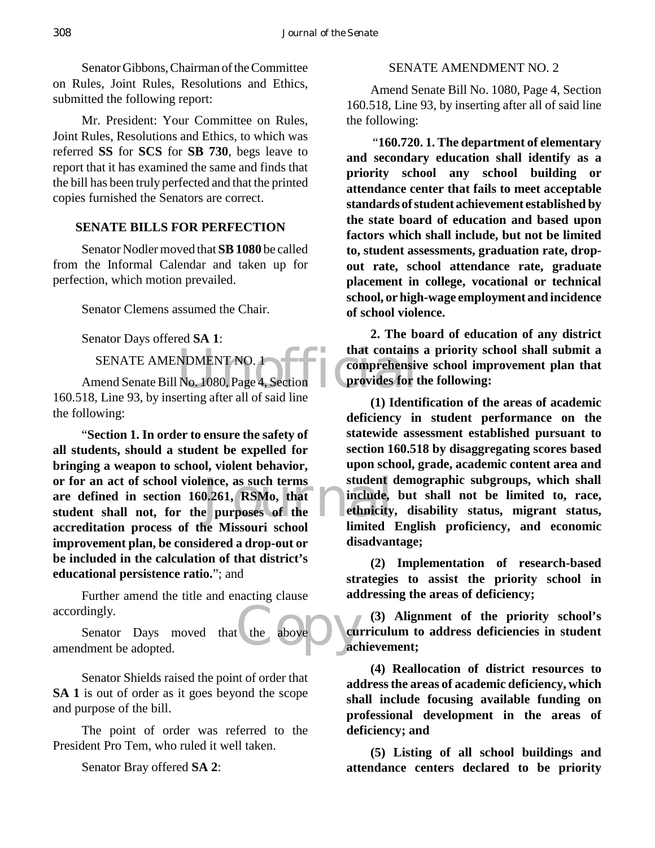Senator Gibbons, Chairman of the Committee on Rules, Joint Rules, Resolutions and Ethics, submitted the following report:

Mr. President: Your Committee on Rules, Joint Rules, Resolutions and Ethics, to which was referred **SS** for **SCS** for **SB 730**, begs leave to report that it has examined the same and finds that the bill has been truly perfected and that the printed copies furnished the Senators are correct.

#### **SENATE BILLS FOR PERFECTION**

Senator Nodler moved that **SB 1080** be called from the Informal Calendar and taken up for perfection, which motion prevailed.

Senator Clemens assumed the Chair.

Senator Days offered **SA 1**:

SENATE AMENDMENT NO. 1

MDMENT NO. 1<br>No. 1080, Page 4, Section<br>erting after all of said line Amend Senate Bill No. 1080, Page 4, Section 160.518, Line 93, by inserting after all of said line the following:

ence, as such terms<br>
0.261, RSMo, that<br>
e purposes of the later ethnicity<br>
the Missouri school limited "**Section 1. In order to ensure the safety of all students, should a student be expelled for bringing a weapon to school, violent behavior, or for an act of school violence, as such terms are defined in section 160.261, RSMo, that student shall not, for the purposes of the accreditation process of the Missouri school improvement plan, be considered a drop-out or be included in the calculation of that district's educational persistence ratio.**"; and

Further amend the title and enacting clause accordingly.

the above cu Senator Days moved that the above amendment be adopted.

Senator Shields raised the point of order that **SA 1** is out of order as it goes beyond the scope and purpose of the bill.

The point of order was referred to the President Pro Tem, who ruled it well taken.

Senator Bray offered **SA 2**:

## SENATE AMENDMENT NO. 2

Amend Senate Bill No. 1080, Page 4, Section 160.518, Line 93, by inserting after all of said line the following:

 "**160.720. 1. The department of elementary and secondary education shall identify as a priority school any school building or attendance center that fails to meet acceptable standards of student achievement established by the state board of education and based upon factors which shall include, but not be limited to, student assessments, graduation rate, dropout rate, school attendance rate, graduate placement in college, vocational or technical school, or high-wage employment and incidence of school violence.**

**2. The board of education of any district that contains a priority school shall submit a comprehensive school improvement plan that provides for the following:**

**(1) Identification of the areas of academic deficiency in student performance on the statewide assessment established pursuant to section 160.518 by disaggregating scores based upon school, grade, academic content area and student demographic subgroups, which shall include, but shall not be limited to, race, ethnicity, disability status, migrant status, limited English proficiency, and economic disadvantage;**

**(2) Implementation of research-based strategies to assist the priority school in addressing the areas of deficiency;**

**(3) Alignment of the priority school's curriculum to address deficiencies in student achievement;**

**(4) Reallocation of district resources to address the areas of academic deficiency, which shall include focusing available funding on professional development in the areas of deficiency; and**

**(5) Listing of all school buildings and attendance centers declared to be priority**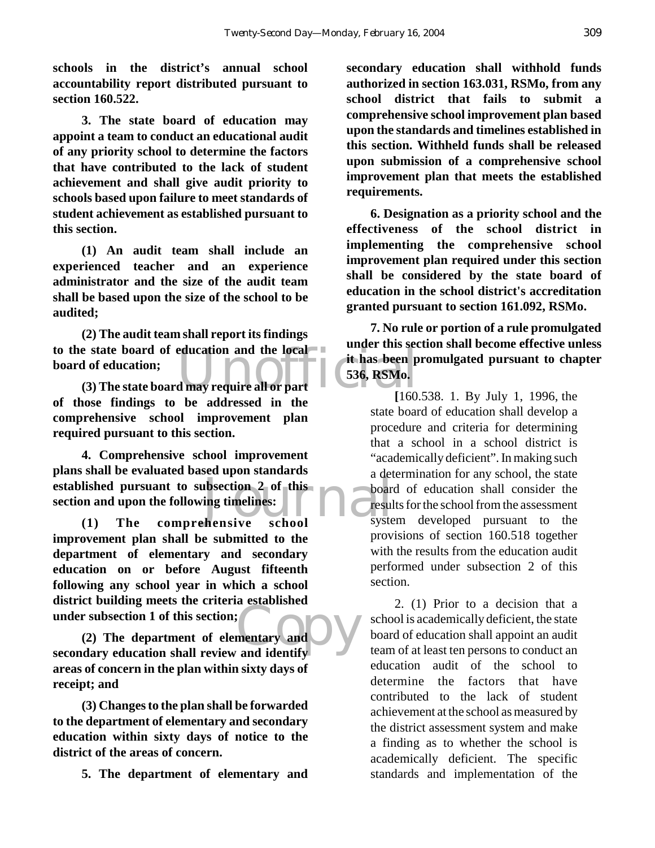**schools in the district's annual school accountability report distributed pursuant to section 160.522.**

**3. The state board of education may appoint a team to conduct an educational audit of any priority school to determine the factors that have contributed to the lack of student achievement and shall give audit priority to schools based upon failure to meet standards of student achievement as established pursuant to this section.**

**(1) An audit team shall include an experienced teacher and an experience administrator and the size of the audit team shall be based upon the size of the school to be audited;**

to the state board of education and the local<br>
board of education;<br>
(3) The state board may require all or part<br>
160 **(2) The audit team shall report its findings board of education;**

**(3) The state board may require all or part of those findings to be addressed in the comprehensive school improvement plan required pursuant to this section.**

established pursuant to subsection 2 of this<br>section and upon the following timelines:<br>(1) The comprehensive school system **4. Comprehensive school improvement plans shall be evaluated based upon standards section and upon the following timelines:**

**(1) The comprehensive school improvement plan shall be submitted to the department of elementary and secondary education on or before August fifteenth following any school year in which a school district building meets the criteria established under subsection 1 of this section;**

mentary and DV **(2) The department of elementary and secondary education shall review and identify areas of concern in the plan within sixty days of receipt; and**

**(3) Changes to the plan shall be forwarded to the department of elementary and secondary education within sixty days of notice to the district of the areas of concern.**

**5. The department of elementary and**

**secondary education shall withhold funds authorized in section 163.031, RSMo, from any school district that fails to submit a comprehensive school improvement plan based upon the standards and timelines established in this section. Withheld funds shall be released upon submission of a comprehensive school improvement plan that meets the established requirements.**

**6. Designation as a priority school and the effectiveness of the school district in implementing the comprehensive school improvement plan required under this section shall be considered by the state board of education in the school district's accreditation granted pursuant to section 161.092, RSMo.**

**7. No rule or portion of a rule promulgated under this section shall become effective unless it has been promulgated pursuant to chapter 536, RSMo.**

**[**160.538. 1. By July 1, 1996, the state board of education shall develop a procedure and criteria for determining that a school in a school district is "academically deficient". In making such a determination for any school, the state board of education shall consider the results for the school from the assessment system developed pursuant to the provisions of section 160.518 together with the results from the education audit performed under subsection 2 of this section.

2. (1) Prior to a decision that a school is academically deficient, the state board of education shall appoint an audit team of at least ten persons to conduct an education audit of the school to determine the factors that have contributed to the lack of student achievement at the school as measured by the district assessment system and make a finding as to whether the school is academically deficient. The specific standards and implementation of the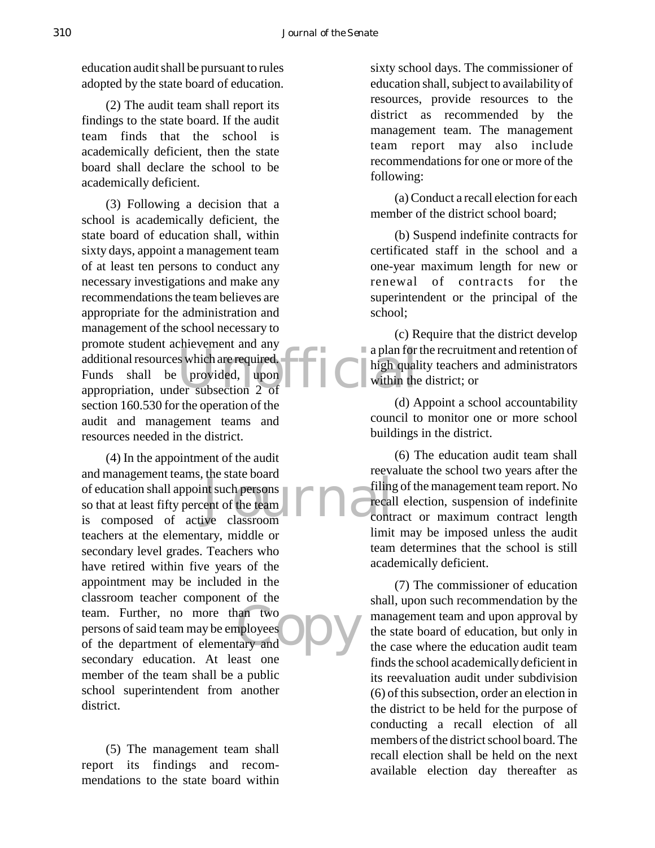education audit shall be pursuant to rules adopted by the state board of education.

(2) The audit team shall report its findings to the state board. If the audit team finds that the school is academically deficient, then the state board shall declare the school to be academically deficient.

promote station achievement and any<br>additional resources which are required.<br>Funds shall be provided, upon appropriation, under subsection 2 of (3) Following a decision that a school is academically deficient, the state board of education shall, within sixty days, appoint a management team of at least ten persons to conduct any necessary investigations and make any recommendations the team believes are appropriate for the administration and management of the school necessary to promote student achievement and any additional resources which are required. Funds shall be provided, upon section 160.530 for the operation of the audit and management teams and resources needed in the district.

nt such persons<br>ent of the team<br>ive classroom an two<br>ployees **ODV** (4) In the appointment of the audit and management teams, the state board of education shall appoint such persons so that at least fifty percent of the team is composed of active classroom teachers at the elementary, middle or secondary level grades. Teachers who have retired within five years of the appointment may be included in the classroom teacher component of the team. Further, no more than two persons of said team may be employees of the department of elementary and secondary education. At least one member of the team shall be a public school superintendent from another district.

(5) The management team shall report its findings and recommendations to the state board within sixty school days. The commissioner of education shall, subject to availability of resources, provide resources to the district as recommended by the management team. The management team report may also include recommendations for one or more of the following:

(a) Conduct a recall election for each member of the district school board;

(b) Suspend indefinite contracts for certificated staff in the school and a one-year maximum length for new or renewal of contracts for the superintendent or the principal of the school;

(c) Require that the district develop a plan for the recruitment and retention of high quality teachers and administrators within the district; or

(d) Appoint a school accountability council to monitor one or more school buildings in the district.

(6) The education audit team shall reevaluate the school two years after the filing of the management team report. No recall election, suspension of indefinite contract or maximum contract length limit may be imposed unless the audit team determines that the school is still academically deficient.

(7) The commissioner of education shall, upon such recommendation by the management team and upon approval by the state board of education, but only in the case where the education audit team finds the school academically deficient in its reevaluation audit under subdivision (6) of this subsection, order an election in the district to be held for the purpose of conducting a recall election of all members of the district school board. The recall election shall be held on the next available election day thereafter as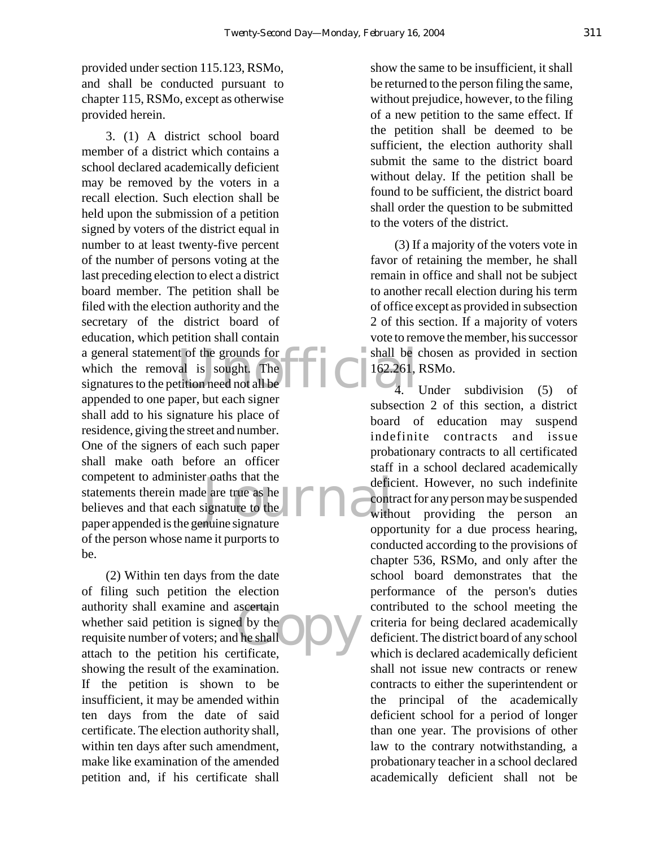provided under section 115.123, RSMo, and shall be conducted pursuant to chapter 115, RSMo, except as otherwise provided herein.

t of the grounds for<br>
al is sought. The<br>
tition need not all be<br>
tition need not all be<br>  $\begin{bmatrix} 162.261, 1 \\ 4. \end{bmatrix}$ r oaths that the<br>
e are true as he<br>
signature to the<br>
nuine signature<br>  $\begin{bmatrix} 1 & 1 \\ 1 & 1 \end{bmatrix}$ 3. (1) A district school board member of a district which contains a school declared academically deficient may be removed by the voters in a recall election. Such election shall be held upon the submission of a petition signed by voters of the district equal in number to at least twenty-five percent of the number of persons voting at the last preceding election to elect a district board member. The petition shall be filed with the election authority and the secretary of the district board of education, which petition shall contain a general statement of the grounds for which the removal is sought. The signatures to the petition need not all be appended to one paper, but each signer shall add to his signature his place of residence, giving the street and number. One of the signers of each such paper shall make oath before an officer competent to administer oaths that the statements therein made are true as he believes and that each signature to the paper appended is the genuine signature of the person whose name it purports to be.

ascertain<br>d by the<br>the shall<br>rtificate (2) Within ten days from the date of filing such petition the election authority shall examine and ascertain whether said petition is signed by the requisite number of voters; and he shall attach to the petition his certificate, showing the result of the examination. If the petition is shown to be insufficient, it may be amended within ten days from the date of said certificate. The election authority shall, within ten days after such amendment, make like examination of the amended petition and, if his certificate shall

show the same to be insufficient, it shall be returned to the person filing the same, without prejudice, however, to the filing of a new petition to the same effect. If the petition shall be deemed to be sufficient, the election authority shall submit the same to the district board without delay. If the petition shall be found to be sufficient, the district board shall order the question to be submitted to the voters of the district.

(3) If a majority of the voters vote in favor of retaining the member, he shall remain in office and shall not be subject to another recall election during his term of office except as provided in subsection 2 of this section. If a majority of voters vote to remove the member, his successor shall be chosen as provided in section 162.261, RSMo.

4. Under subdivision (5) of subsection 2 of this section, a district board of education may suspend indefinite contracts and issue probationary contracts to all certificated staff in a school declared academically deficient. However, no such indefinite contract for any person may be suspended without providing the person an opportunity for a due process hearing, conducted according to the provisions of chapter 536, RSMo, and only after the school board demonstrates that the performance of the person's duties contributed to the school meeting the criteria for being declared academically deficient. The district board of any school which is declared academically deficient shall not issue new contracts or renew contracts to either the superintendent or the principal of the academically deficient school for a period of longer than one year. The provisions of other law to the contrary notwithstanding, a probationary teacher in a school declared academically deficient shall not be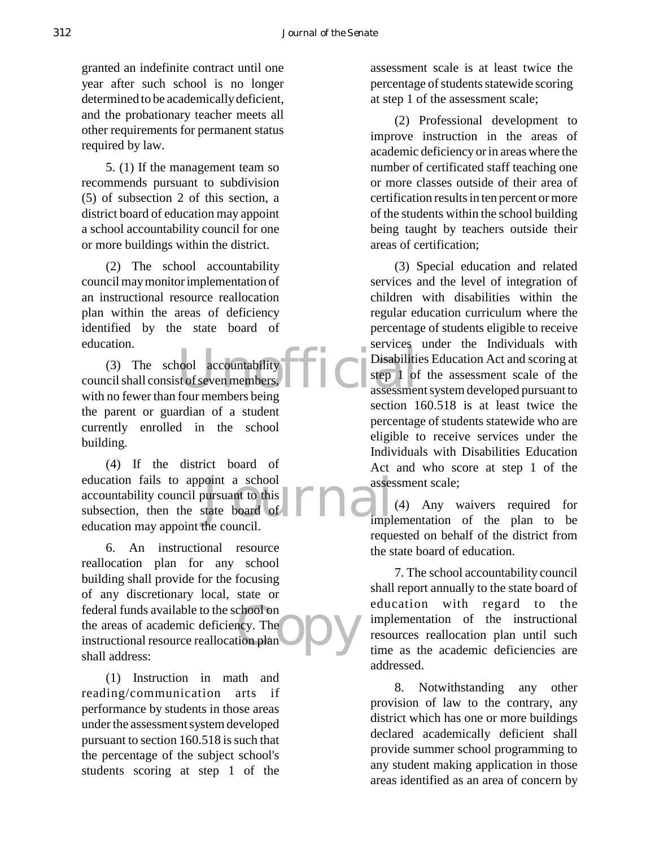granted an indefinite contract until one year after such school is no longer determined to be academically deficient, and the probationary teacher meets all other requirements for permanent status required by law.

5. (1) If the management team so recommends pursuant to subdivision (5) of subsection 2 of this section, a district board of education may appoint a school accountability council for one or more buildings within the district.

(2) The school accountability council may monitor implementation of an instructional resource reallocation plan within the areas of deficiency identified by the state board of education.

Note that the countries of services and the countries of services of the countries of the countries of the countries of the countries of the countries of the countries of the countries of the countries of the countries of (3) The school accountability council shall consist of seven members, with no fewer than four members being the parent or guardian of a student currently enrolled in the school building.

boint a school<br>bursuant to this<br>state board of **FIRE** (4) If the district board of education fails to appoint a school accountability council pursuant to this subsection, then the state board of education may appoint the council.

choot on<br>ncy. The<br>tion plan 6. An instructional resource reallocation plan for any school building shall provide for the focusing of any discretionary local, state or federal funds available to the school on the areas of academic deficiency. The instructional resource reallocation plan shall address:

(1) Instruction in math and reading/communication arts if performance by students in those areas under the assessment system developed pursuant to section 160.518 is such that the percentage of the subject school's students scoring at step 1 of the

assessment scale is at least twice the percentage of students statewide scoring at step 1 of the assessment scale;

(2) Professional development to improve instruction in the areas of academic deficiency or in areas where the number of certificated staff teaching one or more classes outside of their area of certification results in ten percent or more of the students within the school building being taught by teachers outside their areas of certification;

(3) Special education and related services and the level of integration of children with disabilities within the regular education curriculum where the percentage of students eligible to receive services under the Individuals with Disabilities Education Act and scoring at step 1 of the assessment scale of the assessment system developed pursuant to section 160.518 is at least twice the percentage of students statewide who are eligible to receive services under the Individuals with Disabilities Education Act and who score at step 1 of the assessment scale;

(4) Any waivers required for implementation of the plan to be requested on behalf of the district from the state board of education.

7. The school accountability council shall report annually to the state board of education with regard to the implementation of the instructional resources reallocation plan until such time as the academic deficiencies are addressed.

8. Notwithstanding any other provision of law to the contrary, any district which has one or more buildings declared academically deficient shall provide summer school programming to any student making application in those areas identified as an area of concern by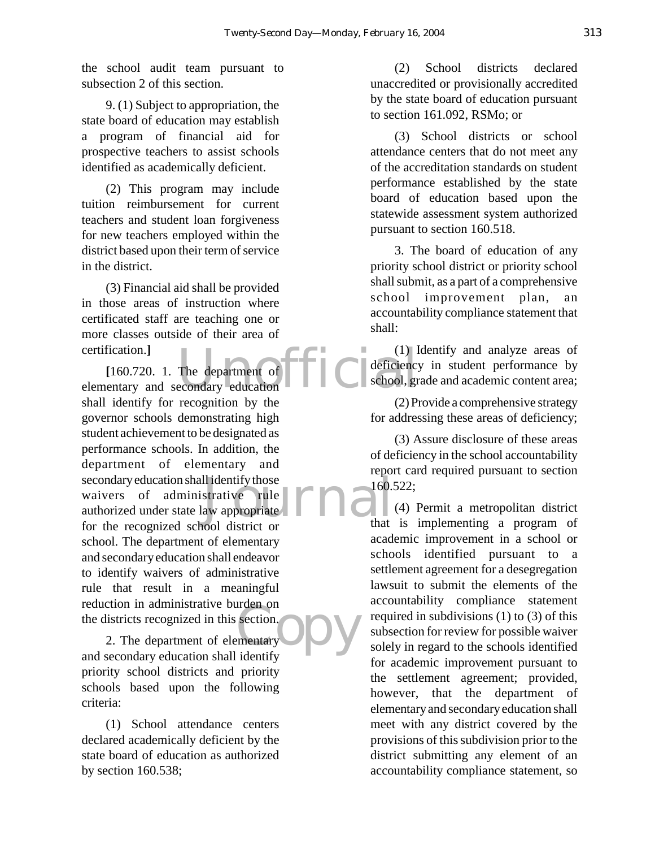the school audit team pursuant to subsection 2 of this section.

9. (1) Subject to appropriation, the state board of education may establish a program of financial aid for prospective teachers to assist schools identified as academically deficient.

(2) This program may include tuition reimbursement for current teachers and student loan forgiveness for new teachers employed within the district based upon their term of service in the district.

(3) Financial aid shall be provided in those areas of instruction where certificated staff are teaching one or more classes outside of their area of certification.**]**

certification.]<br>
[160.720. 1. The department of  $\begin{bmatrix} 1 \end{bmatrix}$  deficiency<br>
elementary and secondary education Il identify those<br>strative rule<br>aw appropriate **FIRE** rden on<br>section.<br>thentary **DV [**160.720. 1. The department of shall identify for recognition by the governor schools demonstrating high student achievement to be designated as performance schools. In addition, the department of elementary and secondary education shall identify those waivers of administrative rule authorized under state law appropriate for the recognized school district or school. The department of elementary and secondary education shall endeavor to identify waivers of administrative rule that result in a meaningful reduction in administrative burden on the districts recognized in this section.

2. The department of elementary and secondary education shall identify priority school districts and priority schools based upon the following criteria:

(1) School attendance centers declared academically deficient by the state board of education as authorized by section 160.538;

(2) School districts declared unaccredited or provisionally accredited by the state board of education pursuant to section 161.092, RSMo; or

(3) School districts or school attendance centers that do not meet any of the accreditation standards on student performance established by the state board of education based upon the statewide assessment system authorized pursuant to section 160.518.

3. The board of education of any priority school district or priority school shall submit, as a part of a comprehensive school improvement plan, an accountability compliance statement that shall:

(1) Identify and analyze areas of deficiency in student performance by school, grade and academic content area;

(2) Provide a comprehensive strategy for addressing these areas of deficiency;

(3) Assure disclosure of these areas of deficiency in the school accountability report card required pursuant to section 160.522;

(4) Permit a metropolitan district that is implementing a program of academic improvement in a school or schools identified pursuant to a settlement agreement for a desegregation lawsuit to submit the elements of the accountability compliance statement required in subdivisions (1) to (3) of this subsection for review for possible waiver solely in regard to the schools identified for academic improvement pursuant to the settlement agreement; provided, however, that the department of elementary and secondary education shall meet with any district covered by the provisions of this subdivision prior to the district submitting any element of an accountability compliance statement, so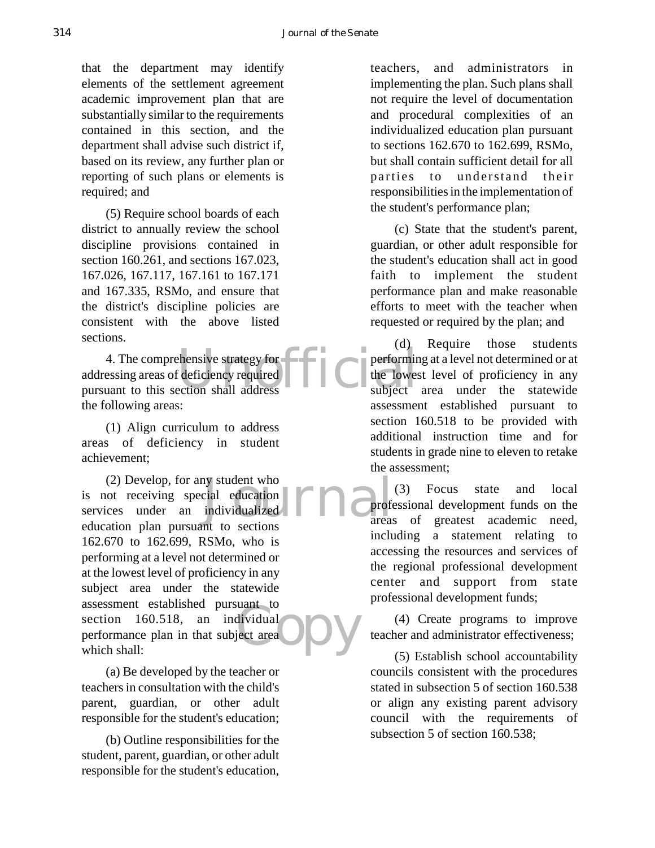that the department may identify elements of the settlement agreement academic improvement plan that are substantially similar to the requirements contained in this section, and the department shall advise such district if, based on its review, any further plan or reporting of such plans or elements is required; and

(5) Require school boards of each district to annually review the school discipline provisions contained in section 160.261, and sections 167.023, 167.026, 167.117, 167.161 to 167.171 and 167.335, RSMo, and ensure that the district's discipline policies are consistent with the above listed sections.

Extensive strategy for extending the lowes extion shall address 4. The comprehensive strategy for addressing areas of deficiency required pursuant to this section shall address the following areas:

(1) Align curriculum to address areas of deficiency in student achievement;

beyond the section<br>individualized<br>nt to sections areas dividual<br>ect area<sup>1</sup> (2) Develop, for any student who is not receiving special education services under an individualized education plan pursuant to sections 162.670 to 162.699, RSMo, who is performing at a level not determined or at the lowest level of proficiency in any subject area under the statewide assessment established pursuant to section 160.518, an individual performance plan in that subject area which shall:

(a) Be developed by the teacher or teachers in consultation with the child's parent, guardian, or other adult responsible for the student's education;

(b) Outline responsibilities for the student, parent, guardian, or other adult responsible for the student's education,

teachers, and administrators in implementing the plan. Such plans shall not require the level of documentation and procedural complexities of an individualized education plan pursuant to sections 162.670 to 162.699, RSMo, but shall contain sufficient detail for all parties to understand their responsibilities in the implementation of the student's performance plan;

(c) State that the student's parent, guardian, or other adult responsible for the student's education shall act in good faith to implement the student performance plan and make reasonable efforts to meet with the teacher when requested or required by the plan; and

(d) Require those students performing at a level not determined or at the lowest level of proficiency in any subject area under the statewide assessment established pursuant to section 160.518 to be provided with additional instruction time and for students in grade nine to eleven to retake the assessment;

(3) Focus state and local professional development funds on the areas of greatest academic need, including a statement relating to accessing the resources and services of the regional professional development center and support from state professional development funds;

(4) Create programs to improve teacher and administrator effectiveness;

(5) Establish school accountability councils consistent with the procedures stated in subsection 5 of section 160.538 or align any existing parent advisory council with the requirements of subsection 5 of section 160.538;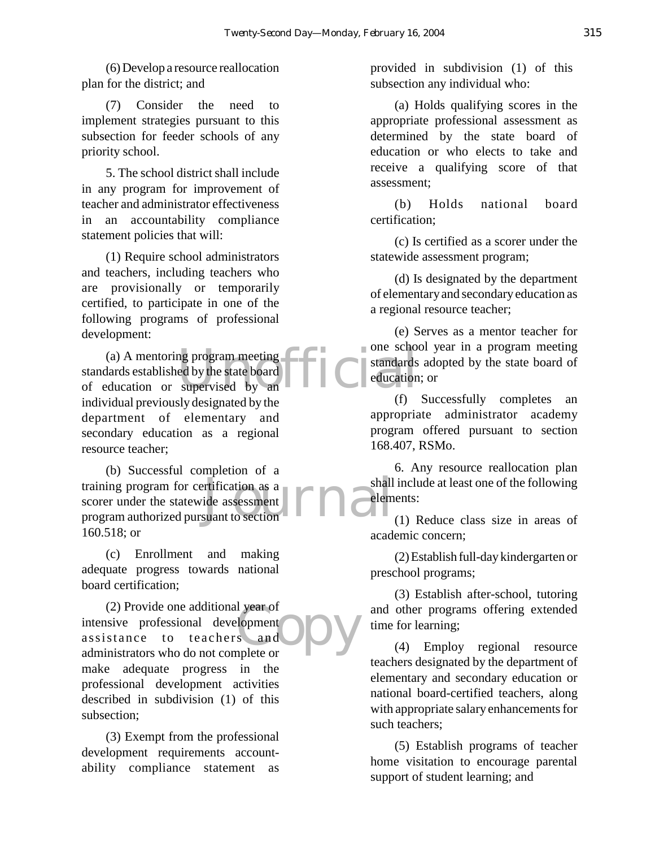(6) Develop a resource reallocation plan for the district; and

(7) Consider the need to implement strategies pursuant to this subsection for feeder schools of any priority school.

5. The school district shall include in any program for improvement of teacher and administrator effectiveness in an accountability compliance statement policies that will:

(1) Require school administrators and teachers, including teachers who are provisionally or temporarily certified, to participate in one of the following programs of professional development:

(a) A mentoring program meeting<br>
lards established by the state board<br>
Electric method of supervised by an standards established by the state board of education or supervised by an individual previously designated by the department of elementary and secondary education as a regional resource teacher;

shall<br>ide assessment<br>suant to section (b) Successful completion of a training program for certification as a scorer under the statewide assessment program authorized pursuant to section 160.518; or

(c) Enrollment and making adequate progress towards national board certification;

I year of<br>Scand ODV<br>nplete or (2) Provide one additional year of intensive professional development assistance to teachers and administrators who do not complete or make adequate progress in the professional development activities described in subdivision (1) of this subsection;

(3) Exempt from the professional development requirements accountability compliance statement as

provided in subdivision (1) of this subsection any individual who:

(a) Holds qualifying scores in the appropriate professional assessment as determined by the state board of education or who elects to take and receive a qualifying score of that assessment;

(b) Holds national board certification;

(c) Is certified as a scorer under the statewide assessment program;

(d) Is designated by the department of elementary and secondary education as a regional resource teacher;

(e) Serves as a mentor teacher for one school year in a program meeting standards adopted by the state board of education; or

(f) Successfully completes an appropriate administrator academy program offered pursuant to section 168.407, RSMo.

6. Any resource reallocation plan shall include at least one of the following elements:

(1) Reduce class size in areas of academic concern;

(2) Establish full-day kindergarten or preschool programs;

(3) Establish after-school, tutoring and other programs offering extended time for learning;

(4) Employ regional resource teachers designated by the department of elementary and secondary education or national board-certified teachers, along with appropriate salary enhancements for such teachers;

(5) Establish programs of teacher home visitation to encourage parental support of student learning; and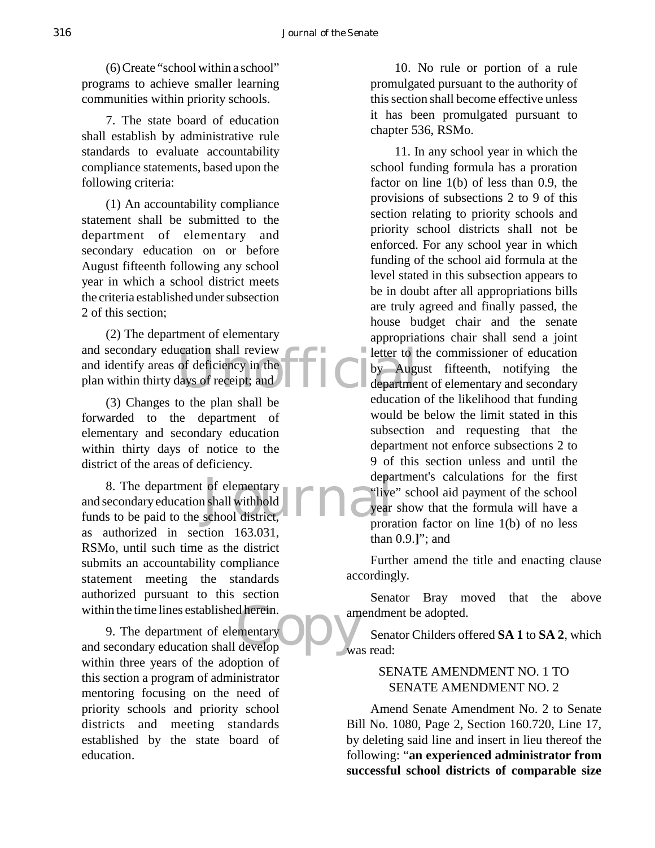(6) Create "school within a school" programs to achieve smaller learning communities within priority schools.

7. The state board of education shall establish by administrative rule standards to evaluate accountability compliance statements, based upon the following criteria:

(1) An accountability compliance statement shall be submitted to the department of elementary and secondary education on or before August fifteenth following any school year in which a school district meets the criteria established under subsection 2 of this section;

leation shall review<br>of deficiency in the<br>lays of receipt; and<br>the department of the contract of the department (2) The department of elementary and secondary education shall review and identify areas of deficiency in the plan within thirty days of receipt; and

(3) Changes to the plan shall be forwarded to the department of elementary and secondary education within thirty days of notice to the district of the areas of deficiency.

of elementary<br>
i shall withhold<br>
school district,<br>
Five<br>
prora 8. The department of elementary and secondary education shall withhold funds to be paid to the school district, as authorized in section 163.031, RSMo, until such time as the district submits an accountability compliance statement meeting the standards authorized pursuant to this section within the time lines established herein.

d herein.<br>
mentary<br>
develop<br>
wa 9. The department of elementary and secondary education shall develop within three years of the adoption of this section a program of administrator mentoring focusing on the need of priority schools and priority school districts and meeting standards established by the state board of education.

10. No rule or portion of a rule promulgated pursuant to the authority of this section shall become effective unless it has been promulgated pursuant to chapter 536, RSMo.

11. In any school year in which the school funding formula has a proration factor on line 1(b) of less than 0.9, the provisions of subsections 2 to 9 of this section relating to priority schools and priority school districts shall not be enforced. For any school year in which funding of the school aid formula at the level stated in this subsection appears to be in doubt after all appropriations bills are truly agreed and finally passed, the house budget chair and the senate appropriations chair shall send a joint letter to the commissioner of education by August fifteenth, notifying the department of elementary and secondary education of the likelihood that funding would be below the limit stated in this subsection and requesting that the department not enforce subsections 2 to 9 of this section unless and until the department's calculations for the first "live" school aid payment of the school year show that the formula will have a proration factor on line 1(b) of no less than 0.9.**]**"; and

Further amend the title and enacting clause accordingly.

Senator Bray moved that the above amendment be adopted.

Senator Childers offered **SA 1** to **SA 2**, which was read:

### SENATE AMENDMENT NO. 1 TO SENATE AMENDMENT NO. 2

Amend Senate Amendment No. 2 to Senate Bill No. 1080, Page 2, Section 160.720, Line 17, by deleting said line and insert in lieu thereof the following: "**an experienced administrator from successful school districts of comparable size**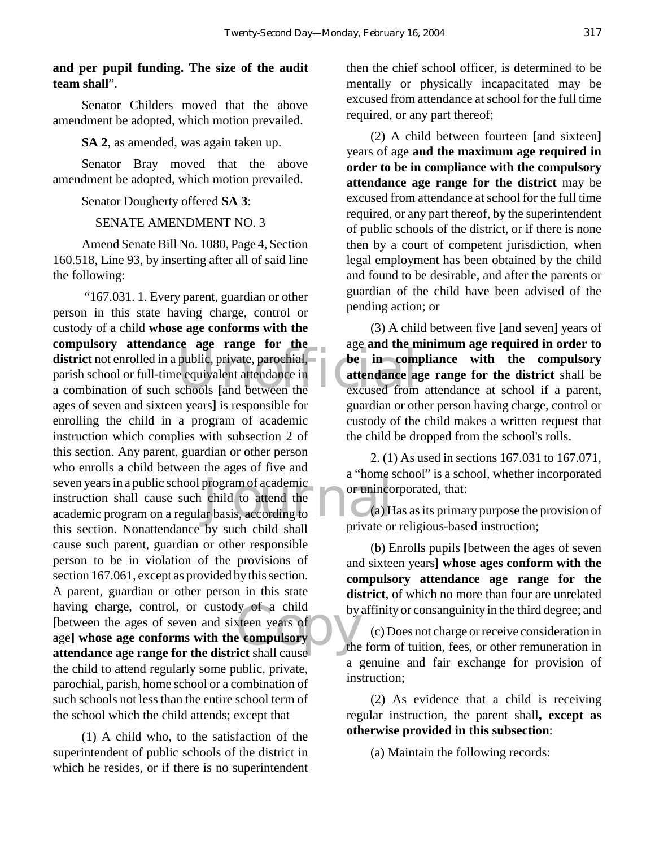## **and per pupil funding. The size of the audit team shall**".

Senator Childers moved that the above amendment be adopted, which motion prevailed.

#### **SA 2**, as amended, was again taken up.

Senator Bray moved that the above amendment be adopted, which motion prevailed.

#### Senator Dougherty offered **SA 3**:

#### SENATE AMENDMENT NO. 3

Amend Senate Bill No. 1080, Page 4, Section 160.518, Line 93, by inserting after all of said line the following:

district not enrolled in a public, private, parochial, be in comparish school or full-time equivalent attendance in a combination of such schools [and between the seven years in a public school program of academic<br>
instruction shall cause such child to attend the<br>
academic program on a regular basis, according to<br>
a) H by of a child<br>steen years of<br>examples the compulsory "167.031. 1. Every parent, guardian or other person in this state having charge, control or custody of a child **whose age conforms with the compulsory attendance age range for the** parish school or full-time equivalent attendance in a combination of such schools **[**and between the ages of seven and sixteen years**]** is responsible for enrolling the child in a program of academic instruction which complies with subsection 2 of this section. Any parent, guardian or other person who enrolls a child between the ages of five and instruction shall cause such child to attend the academic program on a regular basis, according to this section. Nonattendance by such child shall cause such parent, guardian or other responsible person to be in violation of the provisions of section 167.061, except as provided by this section. A parent, guardian or other person in this state having charge, control, or custody of a child **[**between the ages of seven and sixteen years of age**] whose age conforms with the compulsory attendance age range for the district** shall cause the child to attend regularly some public, private, parochial, parish, home school or a combination of such schools not less than the entire school term of the school which the child attends; except that

(1) A child who, to the satisfaction of the superintendent of public schools of the district in which he resides, or if there is no superintendent

then the chief school officer, is determined to be mentally or physically incapacitated may be excused from attendance at school for the full time required, or any part thereof;

(2) A child between fourteen **[**and sixteen**]** years of age **and the maximum age required in order to be in compliance with the compulsory attendance age range for the district** may be excused from attendance at school for the full time required, or any part thereof, by the superintendent of public schools of the district, or if there is none then by a court of competent jurisdiction, when legal employment has been obtained by the child and found to be desirable, and after the parents or guardian of the child have been advised of the pending action; or

(3) A child between five **[**and seven**]** years of age **and the minimum age required in order to be in compliance with the compulsory attendance age range for the district** shall be excused from attendance at school if a parent, guardian or other person having charge, control or custody of the child makes a written request that the child be dropped from the school's rolls.

2. (1) As used in sections 167.031 to 167.071, a "home school" is a school, whether incorporated or unincorporated, that:

(a) Has as its primary purpose the provision of private or religious-based instruction;

(b) Enrolls pupils **[**between the ages of seven and sixteen years**] whose ages conform with the compulsory attendance age range for the district**, of which no more than four are unrelated by affinity or consanguinity in the third degree; and

(c) Does not charge or receive consideration in the form of tuition, fees, or other remuneration in a genuine and fair exchange for provision of instruction;

(2) As evidence that a child is receiving regular instruction, the parent shall**, except as otherwise provided in this subsection**:

(a) Maintain the following records: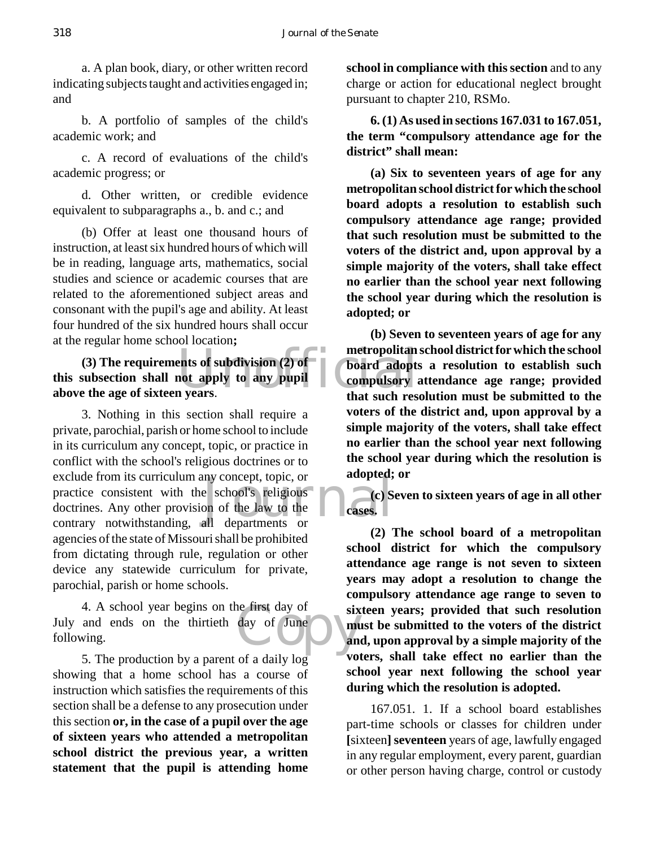a. A plan book, diary, or other written record indicating subjects taught and activities engaged in; and

b. A portfolio of samples of the child's academic work; and

c. A record of evaluations of the child's academic progress; or

d. Other written, or credible evidence equivalent to subparagraphs a., b. and c.; and

(b) Offer at least one thousand hours of instruction, at least six hundred hours of which will be in reading, language arts, mathematics, social studies and science or academic courses that are related to the aforementioned subject areas and consonant with the pupil's age and ability. At least four hundred of the six hundred hours shall occur at the regular home school location**;**

ents of subdivision (2) of<br>not apply to any pupil<br>in years.<br>that such rest<br>that such rest **(3) The requirements of subdivision (2) of this subsection shall not apply to any pupil above the age of sixteen years**.

e school's religious<br>on of the law to the<br>all departments or 3. Nothing in this section shall require a private, parochial, parish or home school to include in its curriculum any concept, topic, or practice in conflict with the school's religious doctrines or to exclude from its curriculum any concept, topic, or practice consistent with the school's religious doctrines. Any other provision of the law to the contrary notwithstanding, all departments or agencies of the state of Missouri shall be prohibited from dictating through rule, regulation or other device any statewide curriculum for private, parochial, parish or home schools.

e first day of six<br>day of June **music day** 4. A school year begins on the first day of July and ends on the thirtieth day of June following.

5. The production by a parent of a daily log showing that a home school has a course of instruction which satisfies the requirements of this section shall be a defense to any prosecution under this section **or, in the case of a pupil over the age of sixteen years who attended a metropolitan school district the previous year, a written statement that the pupil is attending home**

**school in compliance with this section** and to any charge or action for educational neglect brought pursuant to chapter 210, RSMo.

**6. (1) As used in sections 167.031 to 167.051, the term "compulsory attendance age for the district" shall mean:**

**(a) Six to seventeen years of age for any metropolitan school district for which the school board adopts a resolution to establish such compulsory attendance age range; provided that such resolution must be submitted to the voters of the district and, upon approval by a simple majority of the voters, shall take effect no earlier than the school year next following the school year during which the resolution is adopted; or**

**(b) Seven to seventeen years of age for any metropolitan school district for which the school board adopts a resolution to establish such compulsory attendance age range; provided that such resolution must be submitted to the voters of the district and, upon approval by a simple majority of the voters, shall take effect no earlier than the school year next following the school year during which the resolution is adopted; or**

**(c) Seven to sixteen years of age in all other cases.**

**(2) The school board of a metropolitan school district for which the compulsory attendance age range is not seven to sixteen years may adopt a resolution to change the compulsory attendance age range to seven to sixteen years; provided that such resolution must be submitted to the voters of the district and, upon approval by a simple majority of the voters, shall take effect no earlier than the school year next following the school year during which the resolution is adopted.**

167.051. 1. If a school board establishes part-time schools or classes for children under **[**sixteen**] seventeen** years of age, lawfully engaged in any regular employment, every parent, guardian or other person having charge, control or custody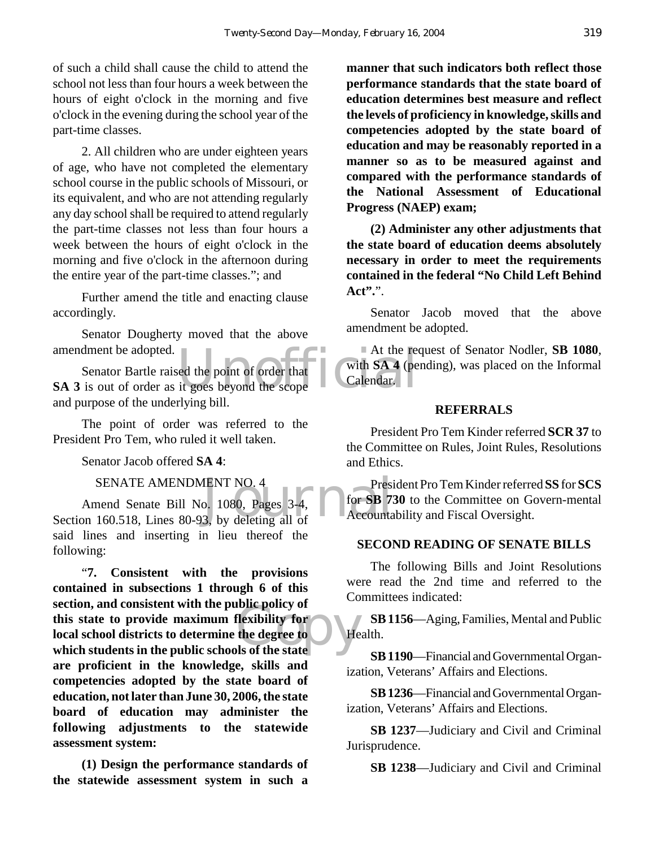of such a child shall cause the child to attend the school not less than four hours a week between the hours of eight o'clock in the morning and five o'clock in the evening during the school year of the part-time classes.

2. All children who are under eighteen years of age, who have not completed the elementary school course in the public schools of Missouri, or its equivalent, and who are not attending regularly any day school shall be required to attend regularly the part-time classes not less than four hours a week between the hours of eight o'clock in the morning and five o'clock in the afternoon during the entire year of the part-time classes."; and

Further amend the title and enacting clause accordingly.

Senator Dougherty moved that the above amendment be adopted.

At the reset of order that<br>it goes beyond the scope Calendar. Senator Bartle raised the point of order that **SA 3** is out of order as it goes beyond the scope and purpose of the underlying bill.

The point of order was referred to the President Pro Tem, who ruled it well taken.

Senator Jacob offered **SA 4**:

SENATE AMENDMENT NO. 4

SENATE AMENDMENT NO. 4 Presi<br>
Amend Senate Bill No. 1080, Pages 3-4, for SB 7.<br>
Section 160.518, Lines 80-93, by deleting all of Accounta Amend Senate Bill No. 1080, Pages 3-4, said lines and inserting in lieu thereof the following:

The policy of<br> **Contains the degree to**<br> **Contains the state** "**7. Consistent with the provisions contained in subsections 1 through 6 of this section, and consistent with the public policy of this state to provide maximum flexibility for local school districts to determine the degree to which students in the public schools of the state are proficient in the knowledge, skills and competencies adopted by the state board of education, not later than June 30, 2006, the state board of education may administer the following adjustments to the statewide assessment system:**

**(1) Design the performance standards of the statewide assessment system in such a**

**manner that such indicators both reflect those performance standards that the state board of education determines best measure and reflect the levels of proficiency in knowledge, skills and competencies adopted by the state board of education and may be reasonably reported in a manner so as to be measured against and compared with the performance standards of the National Assessment of Educational Progress (NAEP) exam;**

**(2) Administer any other adjustments that the state board of education deems absolutely necessary in order to meet the requirements contained in the federal "No Child Left Behind Act".**".

Senator Jacob moved that the above amendment be adopted.

At the request of Senator Nodler, **SB 1080**, with **SA 4** (pending), was placed on the Informal Calendar.

#### **REFERRALS**

President Pro Tem Kinder referred **SCR 37** to the Committee on Rules, Joint Rules, Resolutions and Ethics.

President Pro Tem Kinder referred **SS** for **SCS** for **SB 730** to the Committee on Govern-mental Accountability and Fiscal Oversight.

#### **SECOND READING OF SENATE BILLS**

The following Bills and Joint Resolutions were read the 2nd time and referred to the Committees indicated:

**SB 1156**—Aging, Families, Mental and Public Health.

**SB 1190**—Financial and Governmental Organization, Veterans' Affairs and Elections.

**SB 1236**—Financial and Governmental Organization, Veterans' Affairs and Elections.

**SB 1237**—Judiciary and Civil and Criminal Jurisprudence.

**SB 1238**—Judiciary and Civil and Criminal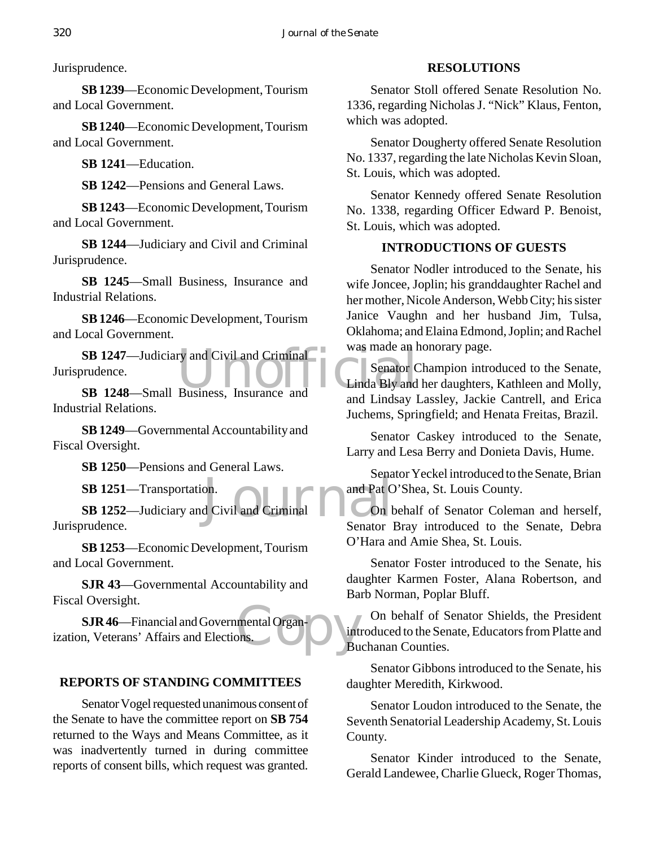Jurisprudence.

**SB 1239**—Economic Development, Tourism and Local Government.

**SB 1240**—Economic Development, Tourism and Local Government.

**SB 1241**—Education.

**SB 1242**—Pensions and General Laws.

**SB 1243**—Economic Development, Tourism and Local Government.

**SB 1244**—Judiciary and Civil and Criminal Jurisprudence.

**SB 1245**—Small Business, Insurance and Industrial Relations.

**SB 1246**—Economic Development, Tourism and Local Government.

**SB 1247**—Judiciary and Civil and Criminal<br>
Supervisory of the Senator Contract of Cinda Bly and<br>
SB 1248—Small Business, Insurance and<br>
and Lindasy I Jurisprudence.

**SB 1248**—Small Business, Insurance and Industrial Relations.

**SB 1249**—Governmental Accountability and Fiscal Oversight.

**SB 1250**—Pensions and General Laws.

**SB 1251**—Transportation.

on.<br> **d** Civil and Criminal<br>
Senator **SB 1252**—Judiciary and Civil and Criminal Jurisprudence.

**SB 1253**—Economic Development, Tourism and Local Government.

**SJR 43**—Governmental Accountability and Fiscal Oversight.

mental Organ- and int **SJR 46**—Financial and Governmental Organization, Veterans' Affairs and Elections.

# **REPORTS OF STANDING COMMITTEES**

Senator Vogel requested unanimous consent of the Senate to have the committee report on **SB 754** returned to the Ways and Means Committee, as it was inadvertently turned in during committee reports of consent bills, which request was granted.

## **RESOLUTIONS**

Senator Stoll offered Senate Resolution No. 1336, regarding Nicholas J. "Nick" Klaus, Fenton, which was adopted.

Senator Dougherty offered Senate Resolution No. 1337, regarding the late Nicholas Kevin Sloan, St. Louis, which was adopted.

Senator Kennedy offered Senate Resolution No. 1338, regarding Officer Edward P. Benoist, St. Louis, which was adopted.

# **INTRODUCTIONS OF GUESTS**

Senator Nodler introduced to the Senate, his wife Joncee, Joplin; his granddaughter Rachel and her mother, Nicole Anderson, Webb City; his sister Janice Vaughn and her husband Jim, Tulsa, Oklahoma; and Elaina Edmond, Joplin; and Rachel was made an honorary page.

Senator Champion introduced to the Senate, Linda Bly and her daughters, Kathleen and Molly, and Lindsay Lassley, Jackie Cantrell, and Erica Juchems, Springfield; and Henata Freitas, Brazil.

Senator Caskey introduced to the Senate, Larry and Lesa Berry and Donieta Davis, Hume.

Senator Yeckel introduced to the Senate, Brian and Pat O'Shea, St. Louis County.

On behalf of Senator Coleman and herself, Senator Bray introduced to the Senate, Debra O'Hara and Amie Shea, St. Louis.

Senator Foster introduced to the Senate, his daughter Karmen Foster, Alana Robertson, and Barb Norman, Poplar Bluff.

On behalf of Senator Shields, the President introduced to the Senate, Educators from Platte and Buchanan Counties.

Senator Gibbons introduced to the Senate, his daughter Meredith, Kirkwood.

Senator Loudon introduced to the Senate, the Seventh Senatorial Leadership Academy, St. Louis County.

Senator Kinder introduced to the Senate, Gerald Landewee, Charlie Glueck, Roger Thomas,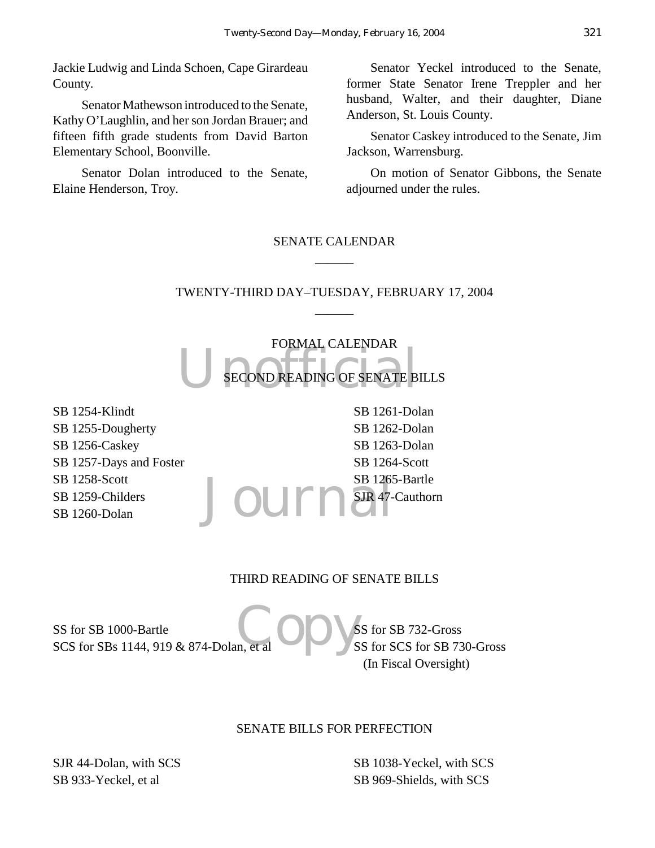Jackie Ludwig and Linda Schoen, Cape Girardeau County.

Senator Mathewson introduced to the Senate, Kathy O'Laughlin, and her son Jordan Brauer; and fifteen fifth grade students from David Barton Elementary School, Boonville.

Senator Dolan introduced to the Senate, Elaine Henderson, Troy.

Senator Yeckel introduced to the Senate, former State Senator Irene Treppler and her husband, Walter, and their daughter, Diane Anderson, St. Louis County.

Senator Caskey introduced to the Senate, Jim Jackson, Warrensburg.

On motion of Senator Gibbons, the Senate adjourned under the rules.

# SENATE CALENDAR  $\overline{\phantom{a}}$

# TWENTY-THIRD DAY–TUESDAY, FEBRUARY 17, 2004  $\overline{\phantom{a}}$

SECOND READING OF SENATE B FORMAL CALENDAR SECOND READING OF SENATE BILLS

SB 1254-Klindt SB 1255-Dougherty SB 1256-Caskey SB 1257-Days and Foster SB 1258-Scott SB 1259-Childers SB 1260-Dolan

Journ<sup>SB 1265-Bartle</sup> SB 1261-Dolan SB 1262-Dolan SB 1263-Dolan SB 1264-Scott SJR 47-Cauthorn

#### THIRD READING OF SENATE BILLS

Copy's SS for SB 1000-Bartle SCS for SBs 1144, 919 & 874-Dolan, et al

SS for SB 732-Gross SS for SCS for SB 730-Gross (In Fiscal Oversight)

#### SENATE BILLS FOR PERFECTION

SJR 44-Dolan, with SCS SB 933-Yeckel, et al

SB 1038-Yeckel, with SCS SB 969-Shields, with SCS